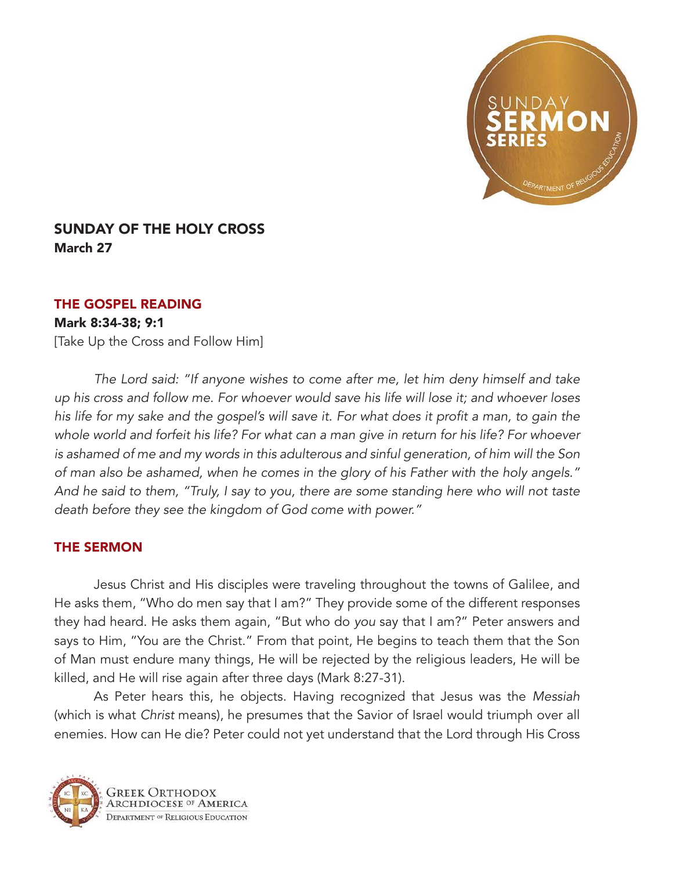

## SUNDAY OF THE HOLY CROSS March 27

## THE GOSPEL READING

## Mark 8:34-38; 9:1

[Take Up the Cross and Follow Him]

*The Lord said: "If anyone wishes to come after me, let him deny himself and take up his cross and follow me. For whoever would save his life will lose it; and whoever loses*  his life for my sake and the gospel's will save it. For what does it profit a man, to gain the *whole world and forfeit his life? For what can a man give in return for his life? For whoever is ashamed of me and my words in this adulterous and sinful generation, of him will the Son of man also be ashamed, when he comes in the glory of his Father with the holy angels." And he said to them, "Truly, I say to you, there are some standing here who will not taste death before they see the kingdom of God come with power."*

## THE SERMON

Jesus Christ and His disciples were traveling throughout the towns of Galilee, and He asks them, "Who do men say that I am?" They provide some of the different responses they had heard. He asks them again, "But who do *you* say that I am?" Peter answers and says to Him, "You are the Christ." From that point, He begins to teach them that the Son of Man must endure many things, He will be rejected by the religious leaders, He will be killed, and He will rise again after three days (Mark 8:27-31).

As Peter hears this, he objects. Having recognized that Jesus was the *Messiah* (which is what *Christ* means), he presumes that the Savior of Israel would triumph over all enemies. How can He die? Peter could not yet understand that the Lord through His Cross

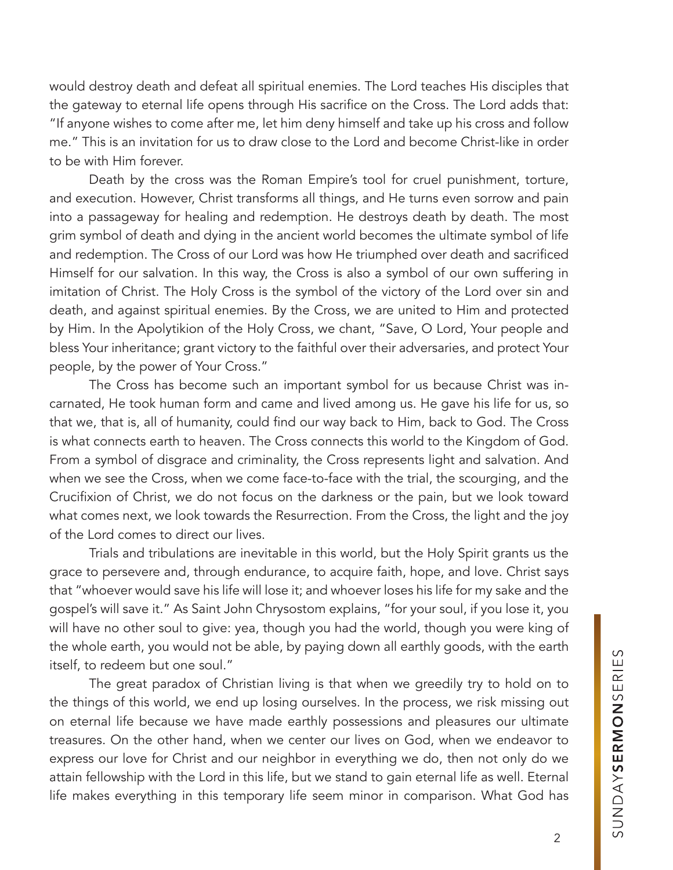would destroy death and defeat all spiritual enemies. The Lord teaches His disciples that the gateway to eternal life opens through His sacrifice on the Cross. The Lord adds that: "If anyone wishes to come after me, let him deny himself and take up his cross and follow me." This is an invitation for us to draw close to the Lord and become Christ-like in order to be with Him forever.

Death by the cross was the Roman Empire's tool for cruel punishment, torture, and execution. However, Christ transforms all things, and He turns even sorrow and pain into a passageway for healing and redemption. He destroys death by death. The most grim symbol of death and dying in the ancient world becomes the ultimate symbol of life and redemption. The Cross of our Lord was how He triumphed over death and sacrificed Himself for our salvation. In this way, the Cross is also a symbol of our own suffering in imitation of Christ. The Holy Cross is the symbol of the victory of the Lord over sin and death, and against spiritual enemies. By the Cross, we are united to Him and protected by Him. In the Apolytikion of the Holy Cross, we chant, "Save, O Lord, Your people and bless Your inheritance; grant victory to the faithful over their adversaries, and protect Your people, by the power of Your Cross."

The Cross has become such an important symbol for us because Christ was incarnated, He took human form and came and lived among us. He gave his life for us, so that we, that is, all of humanity, could find our way back to Him, back to God. The Cross is what connects earth to heaven. The Cross connects this world to the Kingdom of God. From a symbol of disgrace and criminality, the Cross represents light and salvation. And when we see the Cross, when we come face-to-face with the trial, the scourging, and the Crucifixion of Christ, we do not focus on the darkness or the pain, but we look toward what comes next, we look towards the Resurrection. From the Cross, the light and the joy of the Lord comes to direct our lives.

Trials and tribulations are inevitable in this world, but the Holy Spirit grants us the grace to persevere and, through endurance, to acquire faith, hope, and love. Christ says that "whoever would save his life will lose it; and whoever loses his life for my sake and the gospel's will save it." As Saint John Chrysostom explains, "for your soul, if you lose it, you will have no other soul to give: yea, though you had the world, though you were king of the whole earth, you would not be able, by paying down all earthly goods, with the earth itself, to redeem but one soul."

The great paradox of Christian living is that when we greedily try to hold on to the things of this world, we end up losing ourselves. In the process, we risk missing out on eternal life because we have made earthly possessions and pleasures our ultimate treasures. On the other hand, when we center our lives on God, when we endeavor to express our love for Christ and our neighbor in everything we do, then not only do we attain fellowship with the Lord in this life, but we stand to gain eternal life as well. Eternal life makes everything in this temporary life seem minor in comparison. What God has